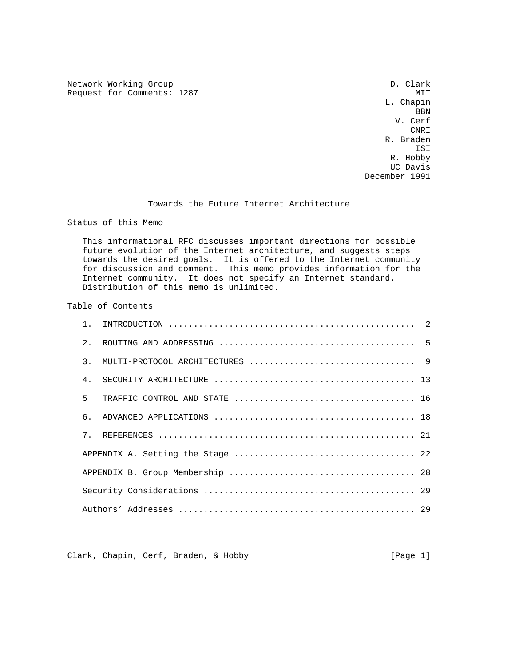Network Working Group Description of the United States of D. Clark Request for Comments: 1287 MIT

 L. Chapin **BBN**  V. Cerf **CNRI**  R. Braden ISI R. Hobby UC Davis December 1991

# Towards the Future Internet Architecture

Status of this Memo

 This informational RFC discusses important directions for possible future evolution of the Internet architecture, and suggests steps towards the desired goals. It is offered to the Internet community for discussion and comment. This memo provides information for the Internet community. It does not specify an Internet standard. Distribution of this memo is unlimited.

# Table of Contents

| 2 <sub>1</sub> |  |
|----------------|--|
|                |  |
| 4.             |  |
| 5              |  |
| 6.             |  |
| 7.             |  |
|                |  |
|                |  |
|                |  |
|                |  |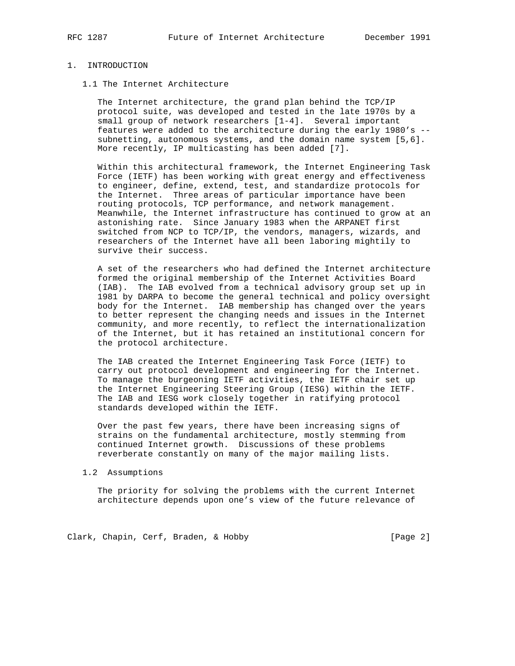# 1. INTRODUCTION

# 1.1 The Internet Architecture

 The Internet architecture, the grand plan behind the TCP/IP protocol suite, was developed and tested in the late 1970s by a small group of network researchers [1-4]. Several important features were added to the architecture during the early 1980's - subnetting, autonomous systems, and the domain name system [5,6]. More recently, IP multicasting has been added [7].

 Within this architectural framework, the Internet Engineering Task Force (IETF) has been working with great energy and effectiveness to engineer, define, extend, test, and standardize protocols for the Internet. Three areas of particular importance have been routing protocols, TCP performance, and network management. Meanwhile, the Internet infrastructure has continued to grow at an astonishing rate. Since January 1983 when the ARPANET first switched from NCP to TCP/IP, the vendors, managers, wizards, and researchers of the Internet have all been laboring mightily to survive their success.

 A set of the researchers who had defined the Internet architecture formed the original membership of the Internet Activities Board (IAB). The IAB evolved from a technical advisory group set up in 1981 by DARPA to become the general technical and policy oversight body for the Internet. IAB membership has changed over the years to better represent the changing needs and issues in the Internet community, and more recently, to reflect the internationalization of the Internet, but it has retained an institutional concern for the protocol architecture.

 The IAB created the Internet Engineering Task Force (IETF) to carry out protocol development and engineering for the Internet. To manage the burgeoning IETF activities, the IETF chair set up the Internet Engineering Steering Group (IESG) within the IETF. The IAB and IESG work closely together in ratifying protocol standards developed within the IETF.

 Over the past few years, there have been increasing signs of strains on the fundamental architecture, mostly stemming from continued Internet growth. Discussions of these problems reverberate constantly on many of the major mailing lists.

#### 1.2 Assumptions

 The priority for solving the problems with the current Internet architecture depends upon one's view of the future relevance of

Clark, Chapin, Cerf, Braden, & Hobby [Page 2]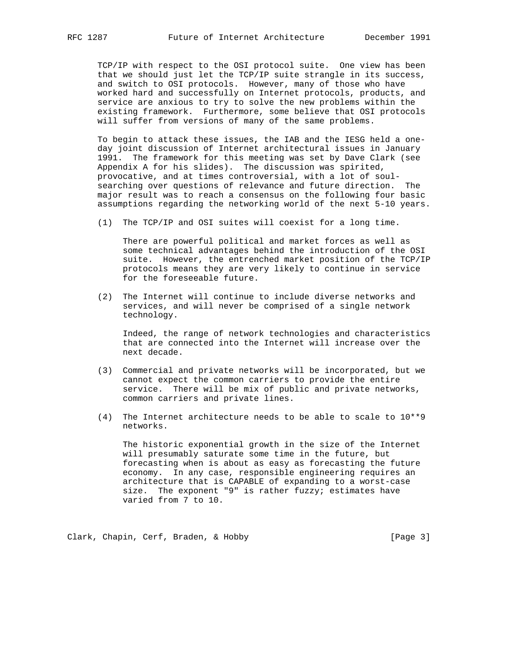TCP/IP with respect to the OSI protocol suite. One view has been that we should just let the TCP/IP suite strangle in its success, and switch to OSI protocols. However, many of those who have worked hard and successfully on Internet protocols, products, and service are anxious to try to solve the new problems within the existing framework. Furthermore, some believe that OSI protocols will suffer from versions of many of the same problems.

 To begin to attack these issues, the IAB and the IESG held a one day joint discussion of Internet architectural issues in January 1991. The framework for this meeting was set by Dave Clark (see Appendix A for his slides). The discussion was spirited, provocative, and at times controversial, with a lot of soul searching over questions of relevance and future direction. The major result was to reach a consensus on the following four basic assumptions regarding the networking world of the next 5-10 years.

(1) The TCP/IP and OSI suites will coexist for a long time.

 There are powerful political and market forces as well as some technical advantages behind the introduction of the OSI suite. However, the entrenched market position of the TCP/IP protocols means they are very likely to continue in service for the foreseeable future.

 (2) The Internet will continue to include diverse networks and services, and will never be comprised of a single network technology.

 Indeed, the range of network technologies and characteristics that are connected into the Internet will increase over the next decade.

- (3) Commercial and private networks will be incorporated, but we cannot expect the common carriers to provide the entire service. There will be mix of public and private networks, common carriers and private lines.
- (4) The Internet architecture needs to be able to scale to 10\*\*9 networks.

 The historic exponential growth in the size of the Internet will presumably saturate some time in the future, but forecasting when is about as easy as forecasting the future economy. In any case, responsible engineering requires an architecture that is CAPABLE of expanding to a worst-case size. The exponent "9" is rather fuzzy; estimates have varied from 7 to 10.

Clark, Chapin, Cerf, Braden, & Hobby [Page 3]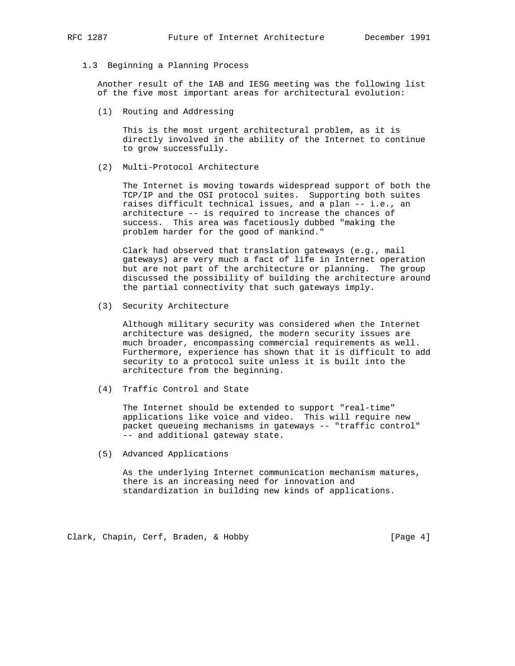1.3 Beginning a Planning Process

 Another result of the IAB and IESG meeting was the following list of the five most important areas for architectural evolution:

(1) Routing and Addressing

 This is the most urgent architectural problem, as it is directly involved in the ability of the Internet to continue to grow successfully.

(2) Multi-Protocol Architecture

 The Internet is moving towards widespread support of both the TCP/IP and the OSI protocol suites. Supporting both suites raises difficult technical issues, and a plan -- i.e., an architecture -- is required to increase the chances of success. This area was facetiously dubbed "making the problem harder for the good of mankind."

 Clark had observed that translation gateways (e.g., mail gateways) are very much a fact of life in Internet operation but are not part of the architecture or planning. The group discussed the possibility of building the architecture around the partial connectivity that such gateways imply.

(3) Security Architecture

 Although military security was considered when the Internet architecture was designed, the modern security issues are much broader, encompassing commercial requirements as well. Furthermore, experience has shown that it is difficult to add security to a protocol suite unless it is built into the architecture from the beginning.

(4) Traffic Control and State

 The Internet should be extended to support "real-time" applications like voice and video. This will require new packet queueing mechanisms in gateways -- "traffic control" -- and additional gateway state.

(5) Advanced Applications

 As the underlying Internet communication mechanism matures, there is an increasing need for innovation and standardization in building new kinds of applications.

Clark, Chapin, Cerf, Braden, & Hobby [Page 4]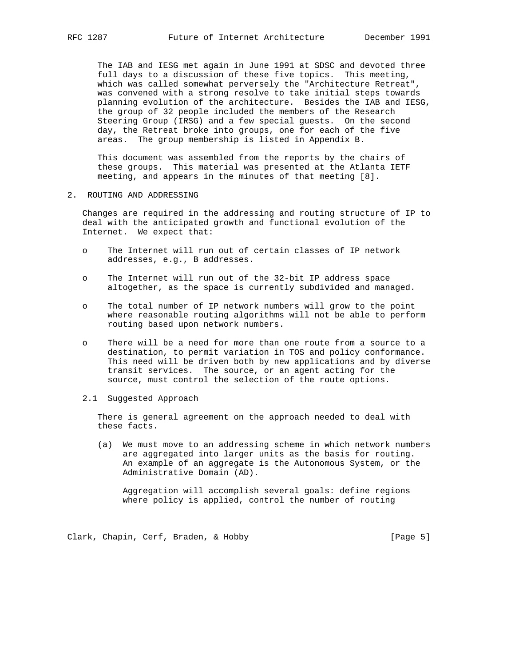The IAB and IESG met again in June 1991 at SDSC and devoted three full days to a discussion of these five topics. This meeting, which was called somewhat perversely the "Architecture Retreat", was convened with a strong resolve to take initial steps towards planning evolution of the architecture. Besides the IAB and IESG, the group of 32 people included the members of the Research Steering Group (IRSG) and a few special guests. On the second day, the Retreat broke into groups, one for each of the five areas. The group membership is listed in Appendix B.

 This document was assembled from the reports by the chairs of these groups. This material was presented at the Atlanta IETF meeting, and appears in the minutes of that meeting [8].

2. ROUTING AND ADDRESSING

 Changes are required in the addressing and routing structure of IP to deal with the anticipated growth and functional evolution of the Internet. We expect that:

- o The Internet will run out of certain classes of IP network addresses, e.g., B addresses.
- o The Internet will run out of the 32-bit IP address space altogether, as the space is currently subdivided and managed.
- o The total number of IP network numbers will grow to the point where reasonable routing algorithms will not be able to perform routing based upon network numbers.
- o There will be a need for more than one route from a source to a destination, to permit variation in TOS and policy conformance. This need will be driven both by new applications and by diverse transit services. The source, or an agent acting for the source, must control the selection of the route options.
- 2.1 Suggested Approach

 There is general agreement on the approach needed to deal with these facts.

 (a) We must move to an addressing scheme in which network numbers are aggregated into larger units as the basis for routing. An example of an aggregate is the Autonomous System, or the Administrative Domain (AD).

 Aggregation will accomplish several goals: define regions where policy is applied, control the number of routing

Clark, Chapin, Cerf, Braden, & Hobby [Page 5]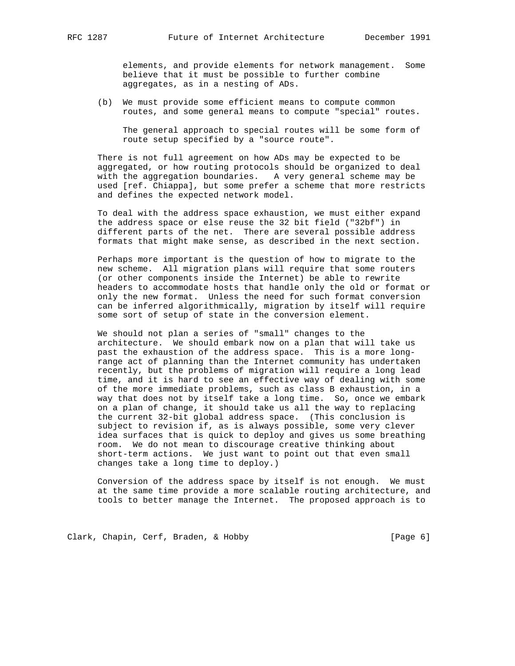elements, and provide elements for network management. Some believe that it must be possible to further combine aggregates, as in a nesting of ADs.

 (b) We must provide some efficient means to compute common routes, and some general means to compute "special" routes.

 The general approach to special routes will be some form of route setup specified by a "source route".

 There is not full agreement on how ADs may be expected to be aggregated, or how routing protocols should be organized to deal with the aggregation boundaries. A very general scheme may be used [ref. Chiappa], but some prefer a scheme that more restricts and defines the expected network model.

 To deal with the address space exhaustion, we must either expand the address space or else reuse the 32 bit field ("32bf") in different parts of the net. There are several possible address formats that might make sense, as described in the next section.

 Perhaps more important is the question of how to migrate to the new scheme. All migration plans will require that some routers (or other components inside the Internet) be able to rewrite headers to accommodate hosts that handle only the old or format or only the new format. Unless the need for such format conversion can be inferred algorithmically, migration by itself will require some sort of setup of state in the conversion element.

 We should not plan a series of "small" changes to the architecture. We should embark now on a plan that will take us past the exhaustion of the address space. This is a more long range act of planning than the Internet community has undertaken recently, but the problems of migration will require a long lead time, and it is hard to see an effective way of dealing with some of the more immediate problems, such as class B exhaustion, in a way that does not by itself take a long time. So, once we embark on a plan of change, it should take us all the way to replacing the current 32-bit global address space. (This conclusion is subject to revision if, as is always possible, some very clever idea surfaces that is quick to deploy and gives us some breathing room. We do not mean to discourage creative thinking about short-term actions. We just want to point out that even small changes take a long time to deploy.)

 Conversion of the address space by itself is not enough. We must at the same time provide a more scalable routing architecture, and tools to better manage the Internet. The proposed approach is to

Clark, Chapin, Cerf, Braden, & Hobby [Page 6]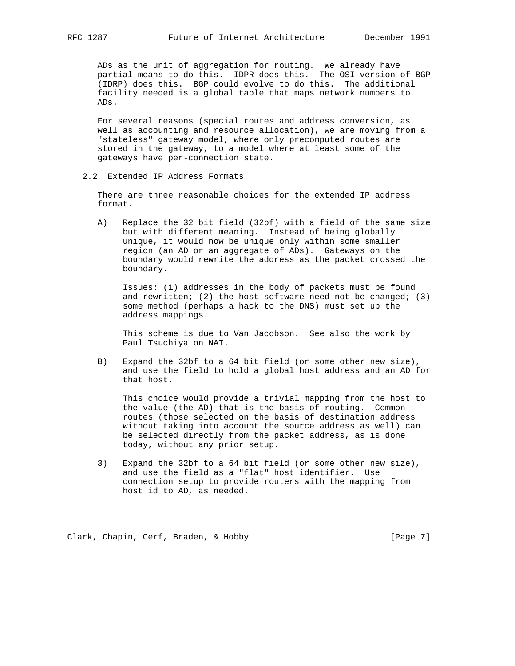ADs as the unit of aggregation for routing. We already have partial means to do this. IDPR does this. The OSI version of BGP (IDRP) does this. BGP could evolve to do this. The additional facility needed is a global table that maps network numbers to ADs.

 For several reasons (special routes and address conversion, as well as accounting and resource allocation), we are moving from a "stateless" gateway model, where only precomputed routes are stored in the gateway, to a model where at least some of the gateways have per-connection state.

2.2 Extended IP Address Formats

 There are three reasonable choices for the extended IP address format.

 A) Replace the 32 bit field (32bf) with a field of the same size but with different meaning. Instead of being globally unique, it would now be unique only within some smaller region (an AD or an aggregate of ADs). Gateways on the boundary would rewrite the address as the packet crossed the boundary.

 Issues: (1) addresses in the body of packets must be found and rewritten; (2) the host software need not be changed; (3) some method (perhaps a hack to the DNS) must set up the address mappings.

 This scheme is due to Van Jacobson. See also the work by Paul Tsuchiya on NAT.

 B) Expand the 32bf to a 64 bit field (or some other new size), and use the field to hold a global host address and an AD for that host.

 This choice would provide a trivial mapping from the host to the value (the AD) that is the basis of routing. Common routes (those selected on the basis of destination address without taking into account the source address as well) can be selected directly from the packet address, as is done today, without any prior setup.

 3) Expand the 32bf to a 64 bit field (or some other new size), and use the field as a "flat" host identifier. Use connection setup to provide routers with the mapping from host id to AD, as needed.

Clark, Chapin, Cerf, Braden, & Hobby [Page 7]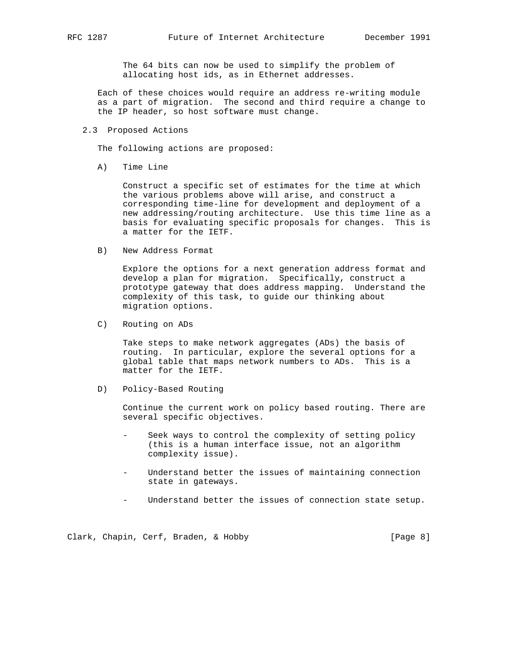The 64 bits can now be used to simplify the problem of allocating host ids, as in Ethernet addresses.

 Each of these choices would require an address re-writing module as a part of migration. The second and third require a change to the IP header, so host software must change.

2.3 Proposed Actions

The following actions are proposed:

A) Time Line

 Construct a specific set of estimates for the time at which the various problems above will arise, and construct a corresponding time-line for development and deployment of a new addressing/routing architecture. Use this time line as a basis for evaluating specific proposals for changes. This is a matter for the IETF.

B) New Address Format

 Explore the options for a next generation address format and develop a plan for migration. Specifically, construct a prototype gateway that does address mapping. Understand the complexity of this task, to guide our thinking about migration options.

C) Routing on ADs

 Take steps to make network aggregates (ADs) the basis of routing. In particular, explore the several options for a global table that maps network numbers to ADs. This is a matter for the IETF.

D) Policy-Based Routing

 Continue the current work on policy based routing. There are several specific objectives.

- Seek ways to control the complexity of setting policy (this is a human interface issue, not an algorithm complexity issue).
- Understand better the issues of maintaining connection state in gateways.
- Understand better the issues of connection state setup.

Clark, Chapin, Cerf, Braden, & Hobby [Page 8]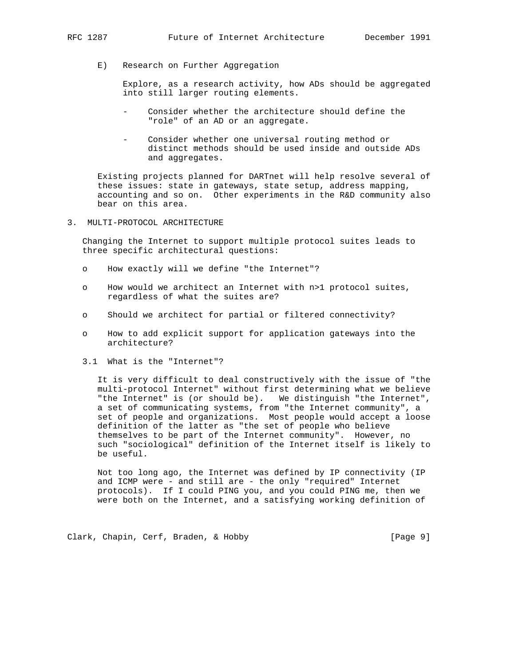- - E) Research on Further Aggregation

 Explore, as a research activity, how ADs should be aggregated into still larger routing elements.

- Consider whether the architecture should define the "role" of an AD or an aggregate.
- Consider whether one universal routing method or distinct methods should be used inside and outside ADs and aggregates.

 Existing projects planned for DARTnet will help resolve several of these issues: state in gateways, state setup, address mapping, accounting and so on. Other experiments in the R&D community also bear on this area.

3. MULTI-PROTOCOL ARCHITECTURE

 Changing the Internet to support multiple protocol suites leads to three specific architectural questions:

- o How exactly will we define "the Internet"?
- o How would we architect an Internet with n>1 protocol suites, regardless of what the suites are?
- o Should we architect for partial or filtered connectivity?
- o How to add explicit support for application gateways into the architecture?
- 3.1 What is the "Internet"?

 It is very difficult to deal constructively with the issue of "the multi-protocol Internet" without first determining what we believe "the Internet" is (or should be). We distinguish "the Internet", a set of communicating systems, from "the Internet community", a set of people and organizations. Most people would accept a loose definition of the latter as "the set of people who believe themselves to be part of the Internet community". However, no such "sociological" definition of the Internet itself is likely to be useful.

 Not too long ago, the Internet was defined by IP connectivity (IP and ICMP were - and still are - the only "required" Internet protocols). If I could PING you, and you could PING me, then we were both on the Internet, and a satisfying working definition of

Clark, Chapin, Cerf, Braden, & Hobby [Page 9]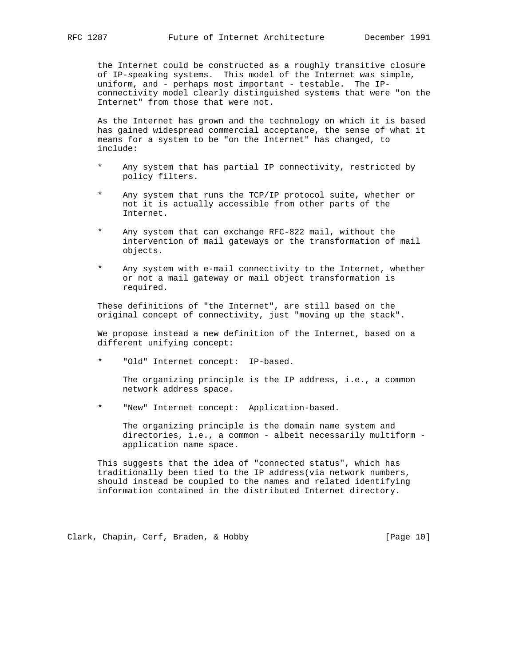the Internet could be constructed as a roughly transitive closure of IP-speaking systems. This model of the Internet was simple, uniform, and - perhaps most important - testable. The IP connectivity model clearly distinguished systems that were "on the Internet" from those that were not.

 As the Internet has grown and the technology on which it is based has gained widespread commercial acceptance, the sense of what it means for a system to be "on the Internet" has changed, to include:

- \* Any system that has partial IP connectivity, restricted by policy filters.
- Any system that runs the TCP/IP protocol suite, whether or not it is actually accessible from other parts of the Internet.
- Any system that can exchange RFC-822 mail, without the intervention of mail gateways or the transformation of mail objects.
- Any system with e-mail connectivity to the Internet, whether or not a mail gateway or mail object transformation is required.

 These definitions of "the Internet", are still based on the original concept of connectivity, just "moving up the stack".

 We propose instead a new definition of the Internet, based on a different unifying concept:

\* "Old" Internet concept: IP-based.

 The organizing principle is the IP address, i.e., a common network address space.

"New" Internet concept: Application-based.

 The organizing principle is the domain name system and directories, i.e., a common - albeit necessarily multiform application name space.

 This suggests that the idea of "connected status", which has traditionally been tied to the IP address(via network numbers, should instead be coupled to the names and related identifying information contained in the distributed Internet directory.

Clark, Chapin, Cerf, Braden, & Hobby [Page 10]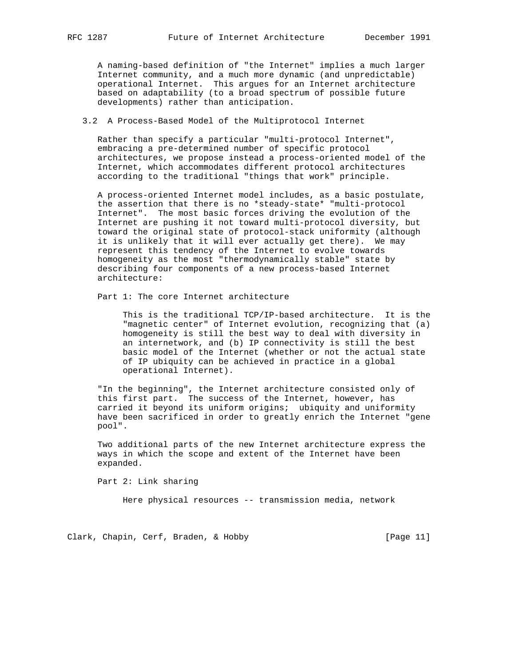A naming-based definition of "the Internet" implies a much larger Internet community, and a much more dynamic (and unpredictable) operational Internet. This argues for an Internet architecture based on adaptability (to a broad spectrum of possible future developments) rather than anticipation.

# 3.2 A Process-Based Model of the Multiprotocol Internet

 Rather than specify a particular "multi-protocol Internet", embracing a pre-determined number of specific protocol architectures, we propose instead a process-oriented model of the Internet, which accommodates different protocol architectures according to the traditional "things that work" principle.

 A process-oriented Internet model includes, as a basic postulate, the assertion that there is no \*steady-state\* "multi-protocol Internet". The most basic forces driving the evolution of the Internet are pushing it not toward multi-protocol diversity, but toward the original state of protocol-stack uniformity (although it is unlikely that it will ever actually get there). We may represent this tendency of the Internet to evolve towards homogeneity as the most "thermodynamically stable" state by describing four components of a new process-based Internet architecture:

Part 1: The core Internet architecture

 This is the traditional TCP/IP-based architecture. It is the "magnetic center" of Internet evolution, recognizing that (a) homogeneity is still the best way to deal with diversity in an internetwork, and (b) IP connectivity is still the best basic model of the Internet (whether or not the actual state of IP ubiquity can be achieved in practice in a global operational Internet).

 "In the beginning", the Internet architecture consisted only of this first part. The success of the Internet, however, has carried it beyond its uniform origins; ubiquity and uniformity have been sacrificed in order to greatly enrich the Internet "gene pool".

 Two additional parts of the new Internet architecture express the ways in which the scope and extent of the Internet have been expanded.

Part 2: Link sharing

Here physical resources -- transmission media, network

Clark, Chapin, Cerf, Braden, & Hobby [Page 11]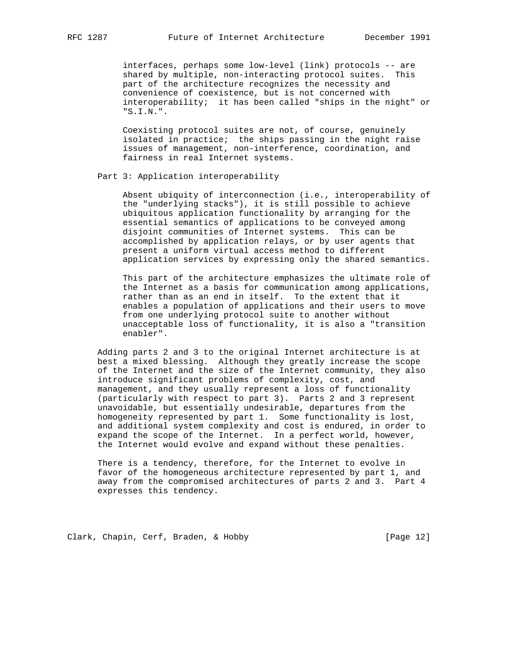interfaces, perhaps some low-level (link) protocols -- are shared by multiple, non-interacting protocol suites. This part of the architecture recognizes the necessity and convenience of coexistence, but is not concerned with interoperability; it has been called "ships in the night" or "S.I.N.".

 Coexisting protocol suites are not, of course, genuinely isolated in practice; the ships passing in the night raise issues of management, non-interference, coordination, and fairness in real Internet systems.

## Part 3: Application interoperability

 Absent ubiquity of interconnection (i.e., interoperability of the "underlying stacks"), it is still possible to achieve ubiquitous application functionality by arranging for the essential semantics of applications to be conveyed among disjoint communities of Internet systems. This can be accomplished by application relays, or by user agents that present a uniform virtual access method to different application services by expressing only the shared semantics.

 This part of the architecture emphasizes the ultimate role of the Internet as a basis for communication among applications, rather than as an end in itself. To the extent that it enables a population of applications and their users to move from one underlying protocol suite to another without unacceptable loss of functionality, it is also a "transition enabler".

 Adding parts 2 and 3 to the original Internet architecture is at best a mixed blessing. Although they greatly increase the scope of the Internet and the size of the Internet community, they also introduce significant problems of complexity, cost, and management, and they usually represent a loss of functionality (particularly with respect to part 3). Parts 2 and 3 represent unavoidable, but essentially undesirable, departures from the homogeneity represented by part 1. Some functionality is lost, and additional system complexity and cost is endured, in order to expand the scope of the Internet. In a perfect world, however, the Internet would evolve and expand without these penalties.

 There is a tendency, therefore, for the Internet to evolve in favor of the homogeneous architecture represented by part 1, and away from the compromised architectures of parts 2 and 3. Part 4 expresses this tendency.

Clark, Chapin, Cerf, Braden, & Hobby [Page 12]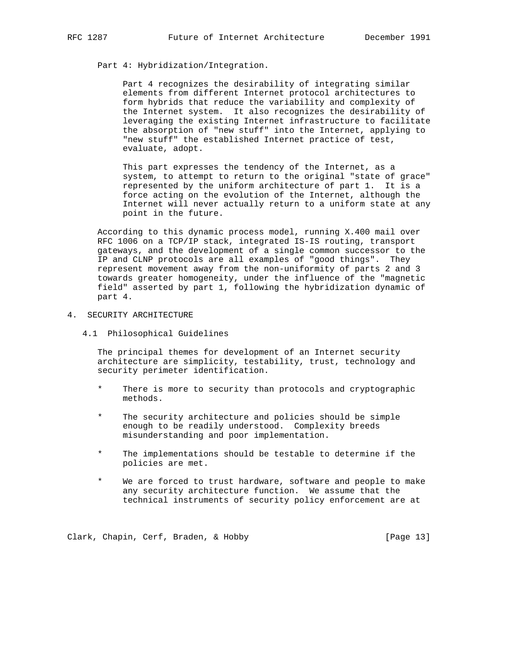### Part 4: Hybridization/Integration.

 Part 4 recognizes the desirability of integrating similar elements from different Internet protocol architectures to form hybrids that reduce the variability and complexity of the Internet system. It also recognizes the desirability of leveraging the existing Internet infrastructure to facilitate the absorption of "new stuff" into the Internet, applying to "new stuff" the established Internet practice of test, evaluate, adopt.

 This part expresses the tendency of the Internet, as a system, to attempt to return to the original "state of grace" represented by the uniform architecture of part 1. It is a force acting on the evolution of the Internet, although the Internet will never actually return to a uniform state at any point in the future.

 According to this dynamic process model, running X.400 mail over RFC 1006 on a TCP/IP stack, integrated IS-IS routing, transport gateways, and the development of a single common successor to the IP and CLNP protocols are all examples of "good things". They represent movement away from the non-uniformity of parts 2 and 3 towards greater homogeneity, under the influence of the "magnetic field" asserted by part 1, following the hybridization dynamic of part 4.

- 4. SECURITY ARCHITECTURE
	- 4.1 Philosophical Guidelines

 The principal themes for development of an Internet security architecture are simplicity, testability, trust, technology and security perimeter identification.

- \* There is more to security than protocols and cryptographic methods.
- The security architecture and policies should be simple enough to be readily understood. Complexity breeds misunderstanding and poor implementation.
- The implementations should be testable to determine if the policies are met.
- \* We are forced to trust hardware, software and people to make any security architecture function. We assume that the technical instruments of security policy enforcement are at

Clark, Chapin, Cerf, Braden, & Hobby [Page 13]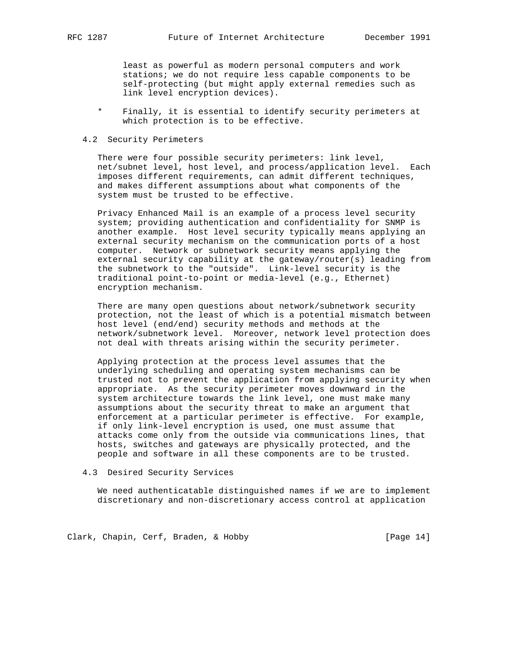least as powerful as modern personal computers and work stations; we do not require less capable components to be self-protecting (but might apply external remedies such as link level encryption devices).

Finally, it is essential to identify security perimeters at which protection is to be effective.

### 4.2 Security Perimeters

 There were four possible security perimeters: link level, net/subnet level, host level, and process/application level. Each imposes different requirements, can admit different techniques, and makes different assumptions about what components of the system must be trusted to be effective.

 Privacy Enhanced Mail is an example of a process level security system; providing authentication and confidentiality for SNMP is another example. Host level security typically means applying an external security mechanism on the communication ports of a host computer. Network or subnetwork security means applying the external security capability at the gateway/router(s) leading from the subnetwork to the "outside". Link-level security is the traditional point-to-point or media-level (e.g., Ethernet) encryption mechanism.

 There are many open questions about network/subnetwork security protection, not the least of which is a potential mismatch between host level (end/end) security methods and methods at the network/subnetwork level. Moreover, network level protection does not deal with threats arising within the security perimeter.

 Applying protection at the process level assumes that the underlying scheduling and operating system mechanisms can be trusted not to prevent the application from applying security when appropriate. As the security perimeter moves downward in the system architecture towards the link level, one must make many assumptions about the security threat to make an argument that enforcement at a particular perimeter is effective. For example, if only link-level encryption is used, one must assume that attacks come only from the outside via communications lines, that hosts, switches and gateways are physically protected, and the people and software in all these components are to be trusted.

4.3 Desired Security Services

 We need authenticatable distinguished names if we are to implement discretionary and non-discretionary access control at application

Clark, Chapin, Cerf, Braden, & Hobby [Page 14]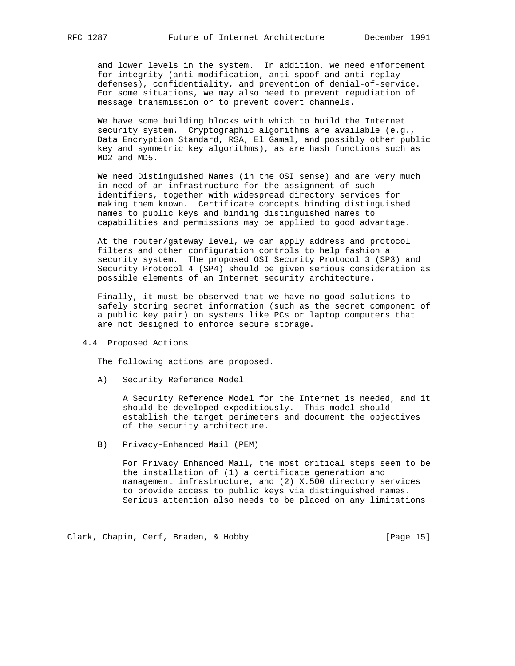and lower levels in the system. In addition, we need enforcement for integrity (anti-modification, anti-spoof and anti-replay defenses), confidentiality, and prevention of denial-of-service. For some situations, we may also need to prevent repudiation of message transmission or to prevent covert channels.

 We have some building blocks with which to build the Internet security system. Cryptographic algorithms are available (e.g., Data Encryption Standard, RSA, El Gamal, and possibly other public key and symmetric key algorithms), as are hash functions such as MD2 and MD5.

 We need Distinguished Names (in the OSI sense) and are very much in need of an infrastructure for the assignment of such identifiers, together with widespread directory services for making them known. Certificate concepts binding distinguished names to public keys and binding distinguished names to capabilities and permissions may be applied to good advantage.

 At the router/gateway level, we can apply address and protocol filters and other configuration controls to help fashion a security system. The proposed OSI Security Protocol 3 (SP3) and Security Protocol 4 (SP4) should be given serious consideration as possible elements of an Internet security architecture.

 Finally, it must be observed that we have no good solutions to safely storing secret information (such as the secret component of a public key pair) on systems like PCs or laptop computers that are not designed to enforce secure storage.

## 4.4 Proposed Actions

The following actions are proposed.

A) Security Reference Model

 A Security Reference Model for the Internet is needed, and it should be developed expeditiously. This model should establish the target perimeters and document the objectives of the security architecture.

B) Privacy-Enhanced Mail (PEM)

 For Privacy Enhanced Mail, the most critical steps seem to be the installation of (1) a certificate generation and management infrastructure, and (2) X.500 directory services to provide access to public keys via distinguished names. Serious attention also needs to be placed on any limitations

Clark, Chapin, Cerf, Braden, & Hobby [Page 15]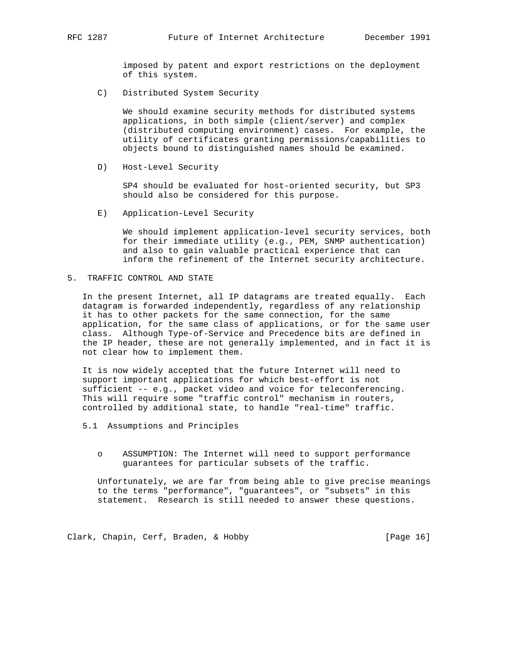imposed by patent and export restrictions on the deployment of this system.

C) Distributed System Security

 We should examine security methods for distributed systems applications, in both simple (client/server) and complex (distributed computing environment) cases. For example, the utility of certificates granting permissions/capabilities to objects bound to distinguished names should be examined.

D) Host-Level Security

 SP4 should be evaluated for host-oriented security, but SP3 should also be considered for this purpose.

E) Application-Level Security

 We should implement application-level security services, both for their immediate utility (e.g., PEM, SNMP authentication) and also to gain valuable practical experience that can inform the refinement of the Internet security architecture.

5. TRAFFIC CONTROL AND STATE

 In the present Internet, all IP datagrams are treated equally. Each datagram is forwarded independently, regardless of any relationship it has to other packets for the same connection, for the same application, for the same class of applications, or for the same user class. Although Type-of-Service and Precedence bits are defined in the IP header, these are not generally implemented, and in fact it is not clear how to implement them.

 It is now widely accepted that the future Internet will need to support important applications for which best-effort is not sufficient -- e.g., packet video and voice for teleconferencing. This will require some "traffic control" mechanism in routers, controlled by additional state, to handle "real-time" traffic.

- 5.1 Assumptions and Principles
	- o ASSUMPTION: The Internet will need to support performance guarantees for particular subsets of the traffic.

 Unfortunately, we are far from being able to give precise meanings to the terms "performance", "guarantees", or "subsets" in this statement. Research is still needed to answer these questions.

Clark, Chapin, Cerf, Braden, & Hobby [Page 16]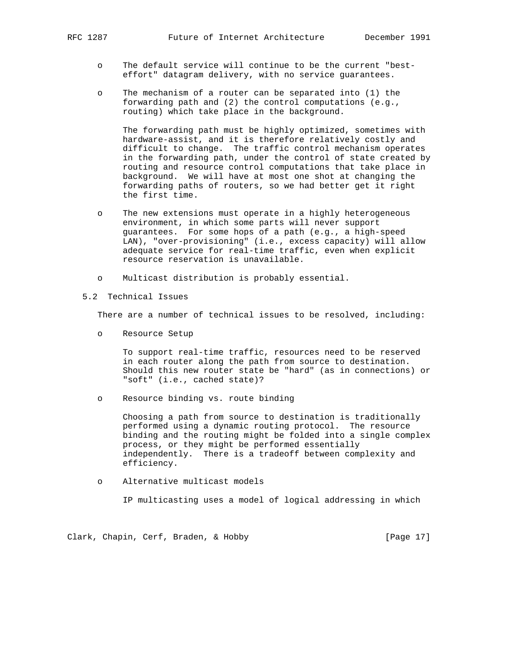- o The default service will continue to be the current "best effort" datagram delivery, with no service guarantees.
- o The mechanism of a router can be separated into (1) the forwarding path and (2) the control computations (e.g., routing) which take place in the background.

 The forwarding path must be highly optimized, sometimes with hardware-assist, and it is therefore relatively costly and difficult to change. The traffic control mechanism operates in the forwarding path, under the control of state created by routing and resource control computations that take place in background. We will have at most one shot at changing the forwarding paths of routers, so we had better get it right the first time.

- o The new extensions must operate in a highly heterogeneous environment, in which some parts will never support guarantees. For some hops of a path (e.g., a high-speed LAN), "over-provisioning" (i.e., excess capacity) will allow adequate service for real-time traffic, even when explicit resource reservation is unavailable.
- o Multicast distribution is probably essential.

#### 5.2 Technical Issues

There are a number of technical issues to be resolved, including:

o Resource Setup

 To support real-time traffic, resources need to be reserved in each router along the path from source to destination. Should this new router state be "hard" (as in connections) or "soft" (i.e., cached state)?

o Resource binding vs. route binding

 Choosing a path from source to destination is traditionally performed using a dynamic routing protocol. The resource binding and the routing might be folded into a single complex process, or they might be performed essentially independently. There is a tradeoff between complexity and efficiency.

o Alternative multicast models

IP multicasting uses a model of logical addressing in which

Clark, Chapin, Cerf, Braden, & Hobby [Page 17]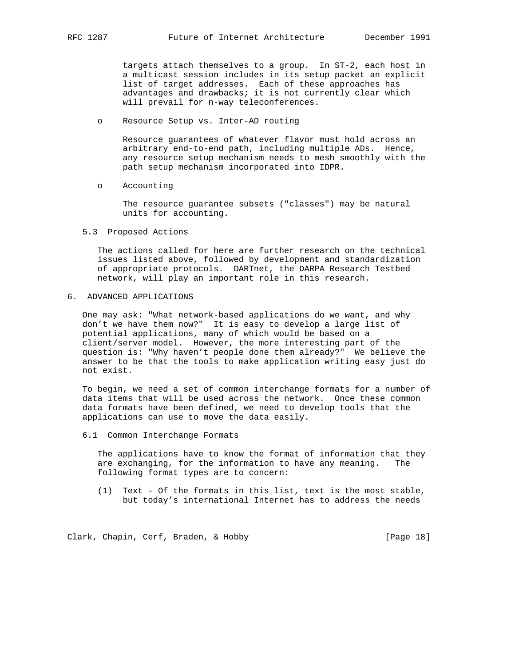targets attach themselves to a group. In ST-2, each host in a multicast session includes in its setup packet an explicit list of target addresses. Each of these approaches has advantages and drawbacks; it is not currently clear which will prevail for n-way teleconferences.

o Resource Setup vs. Inter-AD routing

 Resource guarantees of whatever flavor must hold across an arbitrary end-to-end path, including multiple ADs. Hence, any resource setup mechanism needs to mesh smoothly with the path setup mechanism incorporated into IDPR.

o Accounting

 The resource guarantee subsets ("classes") may be natural units for accounting.

5.3 Proposed Actions

 The actions called for here are further research on the technical issues listed above, followed by development and standardization of appropriate protocols. DARTnet, the DARPA Research Testbed network, will play an important role in this research.

6. ADVANCED APPLICATIONS

 One may ask: "What network-based applications do we want, and why don't we have them now?" It is easy to develop a large list of potential applications, many of which would be based on a client/server model. However, the more interesting part of the question is: "Why haven't people done them already?" We believe the answer to be that the tools to make application writing easy just do not exist.

 To begin, we need a set of common interchange formats for a number of data items that will be used across the network. Once these common data formats have been defined, we need to develop tools that the applications can use to move the data easily.

6.1 Common Interchange Formats

 The applications have to know the format of information that they are exchanging, for the information to have any meaning. The following format types are to concern:

 (1) Text - Of the formats in this list, text is the most stable, but today's international Internet has to address the needs

Clark, Chapin, Cerf, Braden, & Hobby [Page 18]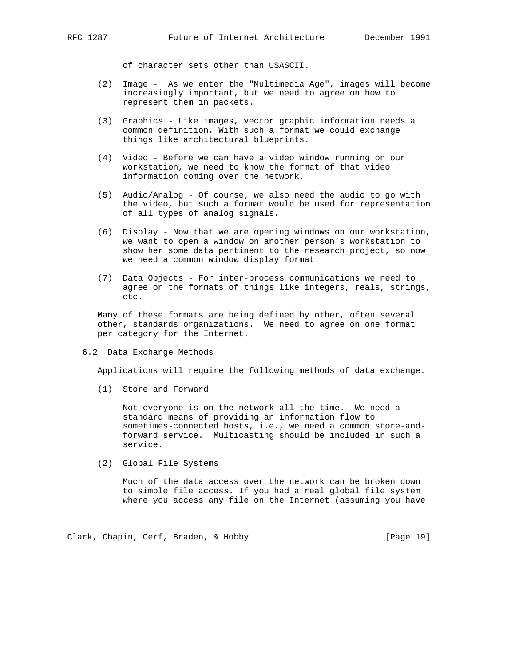of character sets other than USASCII.

- (2) Image As we enter the "Multimedia Age", images will become increasingly important, but we need to agree on how to represent them in packets.
- (3) Graphics Like images, vector graphic information needs a common definition. With such a format we could exchange things like architectural blueprints.
- (4) Video Before we can have a video window running on our workstation, we need to know the format of that video information coming over the network.
- (5) Audio/Analog Of course, we also need the audio to go with the video, but such a format would be used for representation of all types of analog signals.
- (6) Display Now that we are opening windows on our workstation, we want to open a window on another person's workstation to show her some data pertinent to the research project, so now we need a common window display format.
- (7) Data Objects For inter-process communications we need to agree on the formats of things like integers, reals, strings, etc.

 Many of these formats are being defined by other, often several other, standards organizations. We need to agree on one format per category for the Internet.

6.2 Data Exchange Methods

Applications will require the following methods of data exchange.

(1) Store and Forward

 Not everyone is on the network all the time. We need a standard means of providing an information flow to sometimes-connected hosts, i.e., we need a common store-and forward service. Multicasting should be included in such a service.

(2) Global File Systems

 Much of the data access over the network can be broken down to simple file access. If you had a real global file system where you access any file on the Internet (assuming you have

Clark, Chapin, Cerf, Braden, & Hobby [Page 19]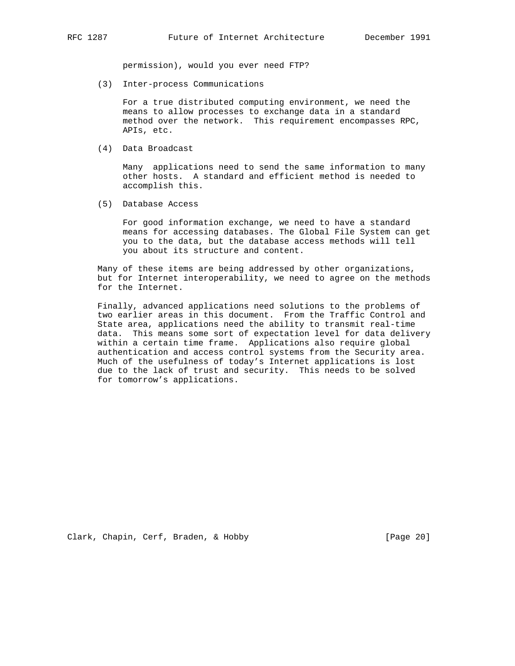permission), would you ever need FTP?

(3) Inter-process Communications

 For a true distributed computing environment, we need the means to allow processes to exchange data in a standard method over the network. This requirement encompasses RPC, APIs, etc.

(4) Data Broadcast

 Many applications need to send the same information to many other hosts. A standard and efficient method is needed to accomplish this.

(5) Database Access

 For good information exchange, we need to have a standard means for accessing databases. The Global File System can get you to the data, but the database access methods will tell you about its structure and content.

 Many of these items are being addressed by other organizations, but for Internet interoperability, we need to agree on the methods for the Internet.

 Finally, advanced applications need solutions to the problems of two earlier areas in this document. From the Traffic Control and State area, applications need the ability to transmit real-time data. This means some sort of expectation level for data delivery within a certain time frame. Applications also require global authentication and access control systems from the Security area. Much of the usefulness of today's Internet applications is lost due to the lack of trust and security. This needs to be solved for tomorrow's applications.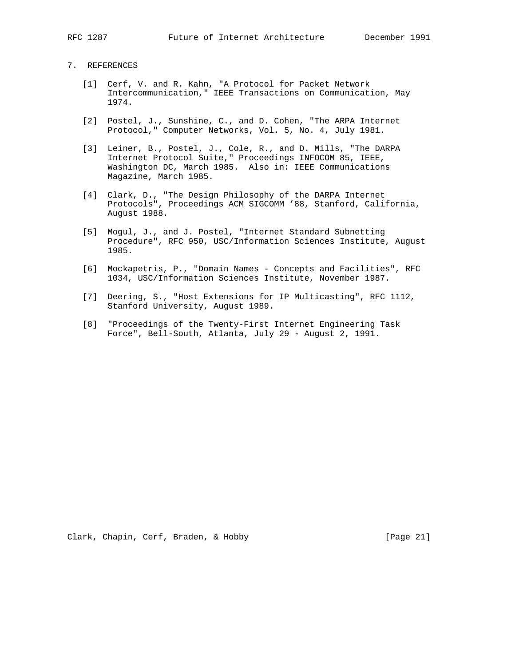# 7. REFERENCES

- [1] Cerf, V. and R. Kahn, "A Protocol for Packet Network Intercommunication," IEEE Transactions on Communication, May 1974.
- [2] Postel, J., Sunshine, C., and D. Cohen, "The ARPA Internet Protocol," Computer Networks, Vol. 5, No. 4, July 1981.
- [3] Leiner, B., Postel, J., Cole, R., and D. Mills, "The DARPA Internet Protocol Suite," Proceedings INFOCOM 85, IEEE, Washington DC, March 1985. Also in: IEEE Communications Magazine, March 1985.
- [4] Clark, D., "The Design Philosophy of the DARPA Internet Protocols", Proceedings ACM SIGCOMM '88, Stanford, California, August 1988.
- [5] Mogul, J., and J. Postel, "Internet Standard Subnetting Procedure", RFC 950, USC/Information Sciences Institute, August 1985.
- [6] Mockapetris, P., "Domain Names Concepts and Facilities", RFC 1034, USC/Information Sciences Institute, November 1987.
- [7] Deering, S., "Host Extensions for IP Multicasting", RFC 1112, Stanford University, August 1989.
- [8] "Proceedings of the Twenty-First Internet Engineering Task Force", Bell-South, Atlanta, July 29 - August 2, 1991.

Clark, Chapin, Cerf, Braden, & Hobby [Page 21]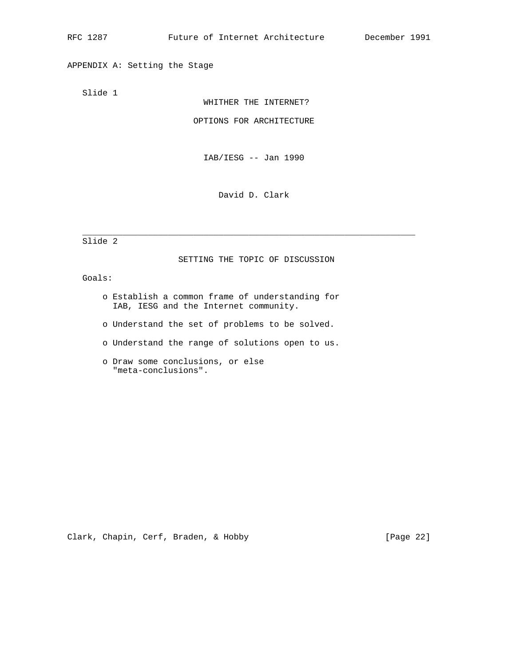APPENDIX A: Setting the Stage

Slide 1

WHITHER THE INTERNET?

OPTIONS FOR ARCHITECTURE

IAB/IESG -- Jan 1990

David D. Clark

 $\mathcal{L} = \{ \mathcal{L} = \{ \mathcal{L} \} \cup \{ \mathcal{L} \} \cup \{ \mathcal{L} \} \cup \{ \mathcal{L} \} \cup \{ \mathcal{L} \} \cup \{ \mathcal{L} \} \cup \{ \mathcal{L} \} \cup \{ \mathcal{L} \} \cup \{ \mathcal{L} \} \cup \{ \mathcal{L} \} \cup \{ \mathcal{L} \} \cup \{ \mathcal{L} \} \cup \{ \mathcal{L} \} \cup \{ \mathcal{L} \} \cup \{ \mathcal{L} \} \cup \{ \mathcal{L} \} \cup \{ \mathcal{L} \} \cup$ 

Slide 2

# SETTING THE TOPIC OF DISCUSSION

Goals:

- o Establish a common frame of understanding for IAB, IESG and the Internet community.
- o Understand the set of problems to be solved.
- o Understand the range of solutions open to us.
- o Draw some conclusions, or else "meta-conclusions".

Clark, Chapin, Cerf, Braden, & Hobby [Page 22]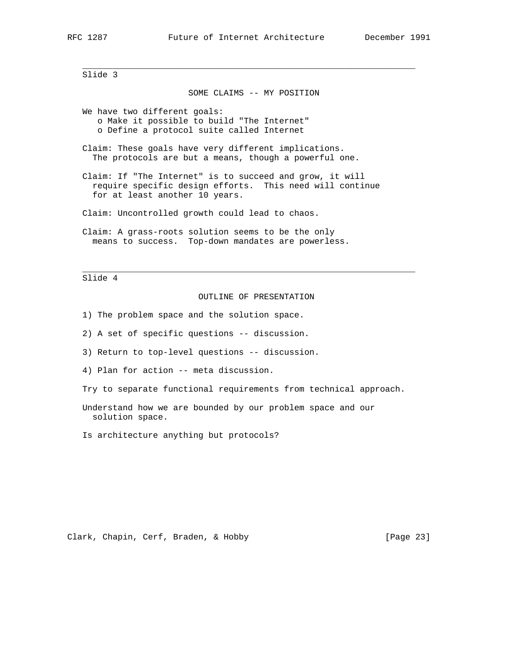#### Slide 3

### SOME CLAIMS -- MY POSITION

 We have two different goals: o Make it possible to build "The Internet" o Define a protocol suite called Internet

 Claim: These goals have very different implications. The protocols are but a means, though a powerful one.

 Claim: If "The Internet" is to succeed and grow, it will require specific design efforts. This need will continue for at least another 10 years.

Claim: Uncontrolled growth could lead to chaos.

 Claim: A grass-roots solution seems to be the only means to success. Top-down mandates are powerless.

### Slide 4

#### OUTLINE OF PRESENTATION

 $\mathcal{L} = \{ \mathcal{L} = \{ \mathcal{L} \} \cup \{ \mathcal{L} \} \cup \{ \mathcal{L} \} \cup \{ \mathcal{L} \} \cup \{ \mathcal{L} \} \cup \{ \mathcal{L} \} \cup \{ \mathcal{L} \} \cup \{ \mathcal{L} \} \cup \{ \mathcal{L} \} \cup \{ \mathcal{L} \} \cup \{ \mathcal{L} \} \cup \{ \mathcal{L} \} \cup \{ \mathcal{L} \} \cup \{ \mathcal{L} \} \cup \{ \mathcal{L} \} \cup \{ \mathcal{L} \} \cup \{ \mathcal{L} \} \cup$ 

- 1) The problem space and the solution space.
- 2) A set of specific questions -- discussion.
- 3) Return to top-level questions -- discussion.
- 4) Plan for action -- meta discussion.
- Try to separate functional requirements from technical approach.
- Understand how we are bounded by our problem space and our solution space.
- Is architecture anything but protocols?

Clark, Chapin, Cerf, Braden, & Hobby [Page 23]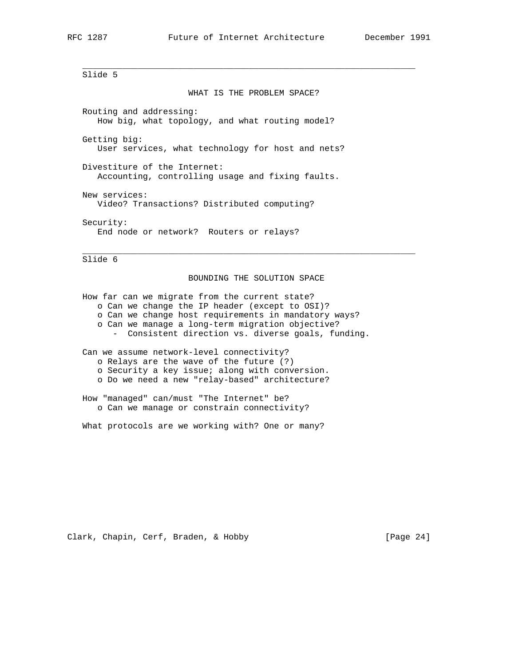Slide 5 WHAT IS THE PROBLEM SPACE? Routing and addressing: How big, what topology, and what routing model? Getting big: User services, what technology for host and nets? Divestiture of the Internet: Accounting, controlling usage and fixing faults. New services: Video? Transactions? Distributed computing? Security: End node or network? Routers or relays?  $\mathcal{L} = \frac{1}{2} \sum_{i=1}^{n} \frac{1}{2} \sum_{j=1}^{n} \frac{1}{2} \sum_{j=1}^{n} \frac{1}{2} \sum_{j=1}^{n} \frac{1}{2} \sum_{j=1}^{n} \frac{1}{2} \sum_{j=1}^{n} \frac{1}{2} \sum_{j=1}^{n} \frac{1}{2} \sum_{j=1}^{n} \frac{1}{2} \sum_{j=1}^{n} \frac{1}{2} \sum_{j=1}^{n} \frac{1}{2} \sum_{j=1}^{n} \frac{1}{2} \sum_{j=1}^{n} \frac{1}{2} \sum$ 

# Slide 6

# BOUNDING THE SOLUTION SPACE

 How far can we migrate from the current state? o Can we change the IP header (except to OSI)? o Can we change host requirements in mandatory ways? o Can we manage a long-term migration objective? - Consistent direction vs. diverse goals, funding. Can we assume network-level connectivity? o Relays are the wave of the future (?)

 o Security a key issue; along with conversion. o Do we need a new "relay-based" architecture?

 How "managed" can/must "The Internet" be? o Can we manage or constrain connectivity?

What protocols are we working with? One or many?

Clark, Chapin, Cerf, Braden, & Hobby [Page 24]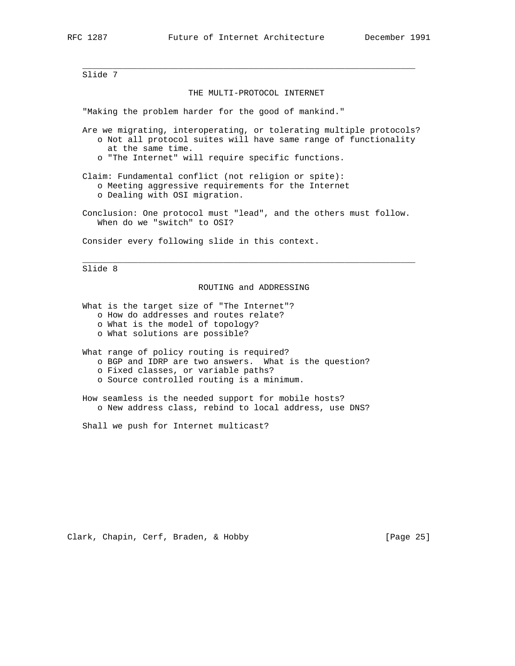Slide 7

## THE MULTI-PROTOCOL INTERNET

"Making the problem harder for the good of mankind."

- Are we migrating, interoperating, or tolerating multiple protocols? o Not all protocol suites will have same range of functionality at the same time.
	- o "The Internet" will require specific functions.

 Claim: Fundamental conflict (not religion or spite): o Meeting aggressive requirements for the Internet o Dealing with OSI migration.

 Conclusion: One protocol must "lead", and the others must follow. When do we "switch" to OSI?

 $\mathcal{L} = \{ \mathcal{L} = \{ \mathcal{L} \} \cup \{ \mathcal{L} \} \cup \{ \mathcal{L} \} \cup \{ \mathcal{L} \} \cup \{ \mathcal{L} \} \cup \{ \mathcal{L} \} \cup \{ \mathcal{L} \} \cup \{ \mathcal{L} \} \cup \{ \mathcal{L} \} \cup \{ \mathcal{L} \} \cup \{ \mathcal{L} \} \cup \{ \mathcal{L} \} \cup \{ \mathcal{L} \} \cup \{ \mathcal{L} \} \cup \{ \mathcal{L} \} \cup \{ \mathcal{L} \} \cup \{ \mathcal{L} \} \cup$ 

Consider every following slide in this context.

#### Slide 8

# ROUTING and ADDRESSING

 What is the target size of "The Internet"? o How do addresses and routes relate? o What is the model of topology? o What solutions are possible?

What range of policy routing is required?

- o BGP and IDRP are two answers. What is the question?
- o Fixed classes, or variable paths?
- o Source controlled routing is a minimum.

 How seamless is the needed support for mobile hosts? o New address class, rebind to local address, use DNS?

Shall we push for Internet multicast?

Clark, Chapin, Cerf, Braden, & Hobby [Page 25]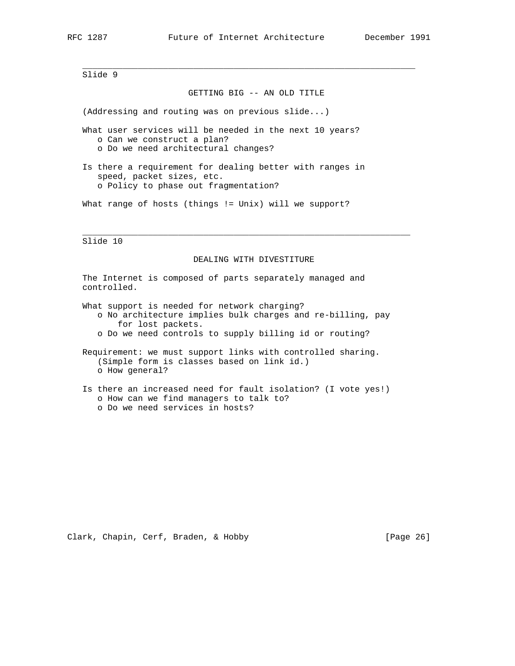Slide 9

### GETTING BIG -- AN OLD TITLE

(Addressing and routing was on previous slide...)

- What user services will be needed in the next 10 years? o Can we construct a plan? o Do we need architectural changes?
- Is there a requirement for dealing better with ranges in speed, packet sizes, etc. o Policy to phase out fragmentation?

What range of hosts (things != Unix) will we support?

Slide 10

## DEALING WITH DIVESTITURE

 The Internet is composed of parts separately managed and controlled.

What support is needed for network charging?

 o No architecture implies bulk charges and re-billing, pay for lost packets.

 $\mathcal{L} = \{ \mathcal{L} = \{ \mathcal{L} \} \cup \{ \mathcal{L} \} \cup \{ \mathcal{L} \} \cup \{ \mathcal{L} \} \cup \{ \mathcal{L} \} \cup \{ \mathcal{L} \} \cup \{ \mathcal{L} \} \cup \{ \mathcal{L} \} \cup \{ \mathcal{L} \} \cup \{ \mathcal{L} \} \cup \{ \mathcal{L} \} \cup \{ \mathcal{L} \} \cup \{ \mathcal{L} \} \cup \{ \mathcal{L} \} \cup \{ \mathcal{L} \} \cup \{ \mathcal{L} \} \cup \{ \mathcal{L} \} \cup$ 

o Do we need controls to supply billing id or routing?

 Requirement: we must support links with controlled sharing. (Simple form is classes based on link id.) o How general?

 Is there an increased need for fault isolation? (I vote yes!) o How can we find managers to talk to? o Do we need services in hosts?

Clark, Chapin, Cerf, Braden, & Hobby [Page 26]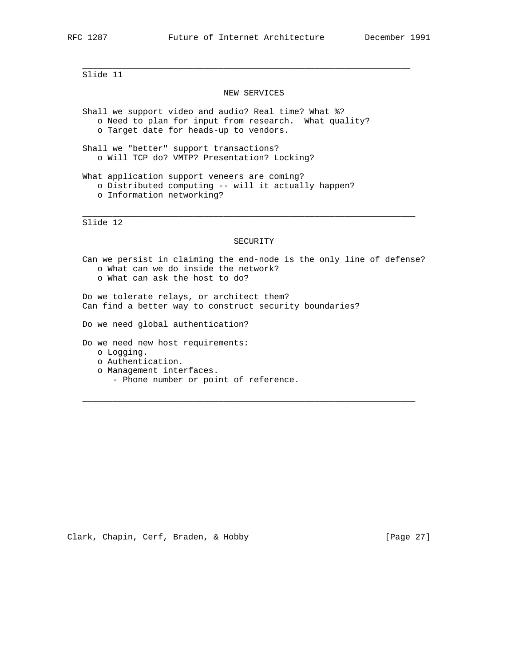# Slide 11

## NEW SERVICES

 Shall we support video and audio? Real time? What %? o Need to plan for input from research. What quality? o Target date for heads-up to vendors.

 Shall we "better" support transactions? o Will TCP do? VMTP? Presentation? Locking?

 What application support veneers are coming? o Distributed computing -- will it actually happen? o Information networking?

Slide 12

#### SECURITY

 $\mathcal{L} = \{ \mathcal{L} = \{ \mathcal{L} \} \cup \{ \mathcal{L} \} \cup \{ \mathcal{L} \} \cup \{ \mathcal{L} \} \cup \{ \mathcal{L} \} \cup \{ \mathcal{L} \} \cup \{ \mathcal{L} \} \cup \{ \mathcal{L} \} \cup \{ \mathcal{L} \} \cup \{ \mathcal{L} \} \cup \{ \mathcal{L} \} \cup \{ \mathcal{L} \} \cup \{ \mathcal{L} \} \cup \{ \mathcal{L} \} \cup \{ \mathcal{L} \} \cup \{ \mathcal{L} \} \cup \{ \mathcal{L} \} \cup$ 

 $\mathcal{L} = \{ \mathcal{L} = \{ \mathcal{L} \} \cup \{ \mathcal{L} \} \cup \{ \mathcal{L} \} \cup \{ \mathcal{L} \} \cup \{ \mathcal{L} \} \cup \{ \mathcal{L} \} \cup \{ \mathcal{L} \} \cup \{ \mathcal{L} \} \cup \{ \mathcal{L} \} \cup \{ \mathcal{L} \} \cup \{ \mathcal{L} \} \cup \{ \mathcal{L} \} \cup \{ \mathcal{L} \} \cup \{ \mathcal{L} \} \cup \{ \mathcal{L} \} \cup \{ \mathcal{L} \} \cup \{ \mathcal{L} \} \cup$ 

 Can we persist in claiming the end-node is the only line of defense? o What can we do inside the network? o What can ask the host to do?

 Do we tolerate relays, or architect them? Can find a better way to construct security boundaries?

Do we need global authentication?

- Do we need new host requirements:
	- o Logging.
	- o Authentication.
	- o Management interfaces.
		- Phone number or point of reference.

Clark, Chapin, Cerf, Braden, & Hobby [Page 27]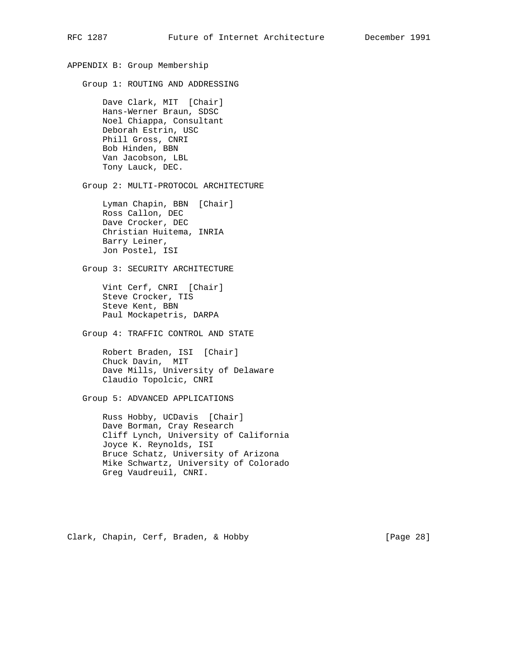APPENDIX B: Group Membership Group 1: ROUTING AND ADDRESSING Dave Clark, MIT [Chair] Hans-Werner Braun, SDSC Noel Chiappa, Consultant Deborah Estrin, USC Phill Gross, CNRI Bob Hinden, BBN Van Jacobson, LBL Tony Lauck, DEC. Group 2: MULTI-PROTOCOL ARCHITECTURE Lyman Chapin, BBN [Chair] Ross Callon, DEC Dave Crocker, DEC Christian Huitema, INRIA Barry Leiner, Jon Postel, ISI Group 3: SECURITY ARCHITECTURE Vint Cerf, CNRI [Chair] Steve Crocker, TIS Steve Kent, BBN Paul Mockapetris, DARPA Group 4: TRAFFIC CONTROL AND STATE Robert Braden, ISI [Chair] Chuck Davin, MIT Dave Mills, University of Delaware Claudio Topolcic, CNRI Group 5: ADVANCED APPLICATIONS Russ Hobby, UCDavis [Chair] Dave Borman, Cray Research Cliff Lynch, University of California Joyce K. Reynolds, ISI Bruce Schatz, University of Arizona Mike Schwartz, University of Colorado Greg Vaudreuil, CNRI.

Clark, Chapin, Cerf, Braden, & Hobby [Page 28]